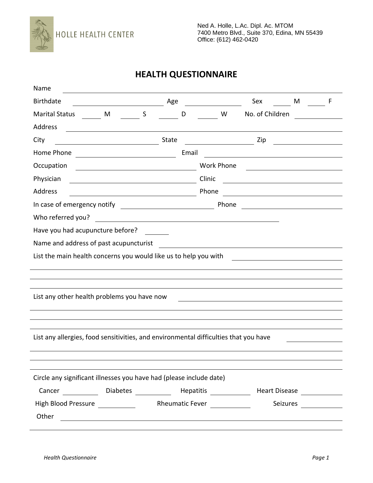

## **HEALTH QUESTIONNAIRE**

| Name                                                                                                                           |                                                                                                                      |  |       |       |            |       |                                                                  |          |                                                                                                                                                                                                                                      |  |  |
|--------------------------------------------------------------------------------------------------------------------------------|----------------------------------------------------------------------------------------------------------------------|--|-------|-------|------------|-------|------------------------------------------------------------------|----------|--------------------------------------------------------------------------------------------------------------------------------------------------------------------------------------------------------------------------------------|--|--|
| <b>Birthdate</b>                                                                                                               |                                                                                                                      |  |       |       |            |       | Sex                                                              | M        |                                                                                                                                                                                                                                      |  |  |
| <b>Marital Status</b>                                                                                                          | M <sub>S</sub>                                                                                                       |  |       | D     |            | W     | No. of Children                                                  |          |                                                                                                                                                                                                                                      |  |  |
| Address                                                                                                                        |                                                                                                                      |  |       |       |            |       |                                                                  |          |                                                                                                                                                                                                                                      |  |  |
| City                                                                                                                           |                                                                                                                      |  | State |       |            |       | Zip                                                              |          | <u>and the company of the company of the company of the company of the company of the company of the company of the company of the company of the company of the company of the company of the company of the company of the com</u> |  |  |
| Home Phone                                                                                                                     | <u> 1980 - Johann Barn, mars ann an t-</u>                                                                           |  |       | Email |            |       |                                                                  |          |                                                                                                                                                                                                                                      |  |  |
| Occupation                                                                                                                     |                                                                                                                      |  |       |       | Work Phone |       |                                                                  |          |                                                                                                                                                                                                                                      |  |  |
| Physician                                                                                                                      |                                                                                                                      |  |       |       | Clinic     |       | <u> 1989 - Johann Stein, mars an t-Amerikaansk kommunister (</u> |          |                                                                                                                                                                                                                                      |  |  |
| Address                                                                                                                        | <u> 1989 - Johann Barn, mars eta bainar eta baina eta baina eta baina eta baina eta baina eta baina eta baina e</u>  |  |       |       | Phone      |       |                                                                  |          |                                                                                                                                                                                                                                      |  |  |
|                                                                                                                                |                                                                                                                      |  |       |       |            | Phone |                                                                  |          |                                                                                                                                                                                                                                      |  |  |
| Who referred you?                                                                                                              |                                                                                                                      |  |       |       |            |       |                                                                  |          |                                                                                                                                                                                                                                      |  |  |
| Have you had acupuncture before?                                                                                               |                                                                                                                      |  |       |       |            |       |                                                                  |          |                                                                                                                                                                                                                                      |  |  |
| Name and address of past acupuncturist                                                                                         |                                                                                                                      |  |       |       |            |       |                                                                  |          |                                                                                                                                                                                                                                      |  |  |
| List the main health concerns you would like us to help you with<br><u> 1989 - John Stein, mars and de Brazilian (b. 1989)</u> |                                                                                                                      |  |       |       |            |       |                                                                  |          |                                                                                                                                                                                                                                      |  |  |
|                                                                                                                                |                                                                                                                      |  |       |       |            |       |                                                                  |          |                                                                                                                                                                                                                                      |  |  |
|                                                                                                                                |                                                                                                                      |  |       |       |            |       |                                                                  |          |                                                                                                                                                                                                                                      |  |  |
| List any other health problems you have now                                                                                    |                                                                                                                      |  |       |       |            |       |                                                                  |          |                                                                                                                                                                                                                                      |  |  |
|                                                                                                                                |                                                                                                                      |  |       |       |            |       |                                                                  |          |                                                                                                                                                                                                                                      |  |  |
|                                                                                                                                |                                                                                                                      |  |       |       |            |       |                                                                  |          |                                                                                                                                                                                                                                      |  |  |
| List any allergies, food sensitivities, and environmental difficulties that you have                                           |                                                                                                                      |  |       |       |            |       |                                                                  |          |                                                                                                                                                                                                                                      |  |  |
|                                                                                                                                |                                                                                                                      |  |       |       |            |       |                                                                  |          |                                                                                                                                                                                                                                      |  |  |
|                                                                                                                                |                                                                                                                      |  |       |       |            |       |                                                                  |          |                                                                                                                                                                                                                                      |  |  |
| Circle any significant illnesses you have had (please include date)                                                            |                                                                                                                      |  |       |       |            |       |                                                                  |          |                                                                                                                                                                                                                                      |  |  |
| Cancer Diabetes Hepatitis Henrich Heart Disease                                                                                |                                                                                                                      |  |       |       |            |       |                                                                  |          |                                                                                                                                                                                                                                      |  |  |
| High Blood Pressure ________________ Rheumatic Fever ____________                                                              |                                                                                                                      |  |       |       |            |       |                                                                  | Seizures |                                                                                                                                                                                                                                      |  |  |
| Other                                                                                                                          |                                                                                                                      |  |       |       |            |       |                                                                  |          | <u>and a straight</u>                                                                                                                                                                                                                |  |  |
|                                                                                                                                | <u> 1989 - Johann Stoff, fransk konge og det forske forskellige og det forske forskellige og det forskellige og </u> |  |       |       |            |       |                                                                  |          |                                                                                                                                                                                                                                      |  |  |